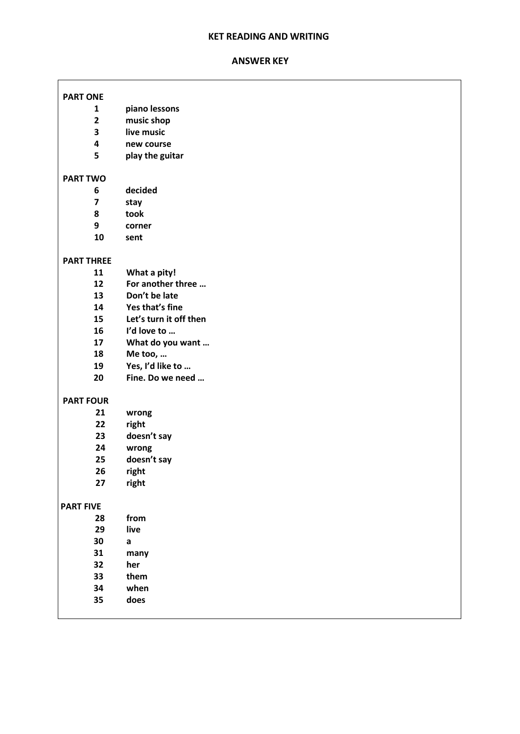# **KET READING AND WRITING**

#### **ANSWER KEY**

ſ

| <b>PART ONE</b>         |                        |
|-------------------------|------------------------|
| $\mathbf{1}$            | piano lessons          |
| $\overline{2}$          | music shop             |
| 3                       | live music             |
| 4                       | new course             |
| 5                       | play the guitar        |
|                         |                        |
| <b>PART TWO</b>         |                        |
| 6                       | decided                |
| $\overline{\mathbf{z}}$ | stay                   |
| 8                       | took                   |
| 9                       | corner                 |
| 10                      | sent                   |
|                         |                        |
| <b>PART THREE</b><br>11 | What a pity!           |
| 12                      | For another three      |
| 13                      | Don't be late          |
| 14                      | Yes that's fine        |
| 15                      | Let's turn it off then |
| 16                      | I'd love to            |
| 17                      | What do you want       |
| 18                      | Me too,                |
| 19                      | Yes, I'd like to       |
| 20                      | Fine. Do we need       |
|                         |                        |
| <b>PART FOUR</b>        |                        |
| 21                      | wrong                  |
| 22                      | right                  |
| 23                      | doesn't say            |
| 24                      | wrong                  |
| 25                      | doesn't say            |
| 26                      | right                  |
| 27                      | right                  |
| <b>PART FIVE</b>        |                        |
| 28                      | from                   |
| 29                      | live                   |
| 30                      | $\mathsf{a}$           |
| 31                      | many                   |
| 32                      | her                    |
| 33                      | them                   |
| 34                      | when                   |
| 35                      | does                   |
|                         |                        |